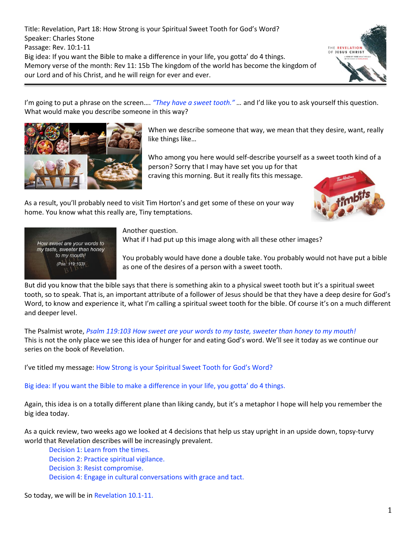Title: Revelation, Part 18: How Strong is your Spiritual Sweet Tooth for God's Word? Speaker: Charles Stone Passage: Rev. 10:1-11 Big idea: If you want the Bible to make a difference in your life, you gotta' do 4 things. Memory verse of the month: Rev 11: 15b The kingdom of the world has become the kingdom of our Lord and of his Christ, and he will reign for ever and ever.

THE REVELATION OF JESUS CHRIST

I'm going to put a phrase on the screen…. *"They have a sweet tooth." …* and I'd like you to ask yourself this question. What would make you describe someone in this way?

> When we describe someone that way, we mean that they desire, want, really like things like…

Who among you here would self-describe yourself as a sweet tooth kind of a person? Sorry that I may have set you up for that

craving this morning. But it really fits this message.





Another question.

home. You know what this really are, Tiny temptations.

As a result, you'll probably need to visit Tim Horton's and get some of these on your way

What if I had put up this image along with all these other images?

You probably would have done a double take. You probably would not have put a bible as one of the desires of a person with a sweet tooth.

But did you know that the bible says that there is something akin to a physical sweet tooth but it's a spiritual sweet tooth, so to speak. That is, an important attribute of a follower of Jesus should be that they have a deep desire for God's Word, to know and experience it, what I'm calling a spiritual sweet tooth for the bible. Of course it's on a much different and deeper level.

The Psalmist wrote, *Psalm 119:103 How sweet are your words to my taste, sweeter than honey to my mouth!* This is not the only place we see this idea of hunger for and eating God's word. We'll see it today as we continue our series on the book of Revelation.

I've titled my message: How Strong is your Spiritual Sweet Tooth for God's Word?

Big idea: If you want the Bible to make a difference in your life, you gotta' do 4 things.

Again, this idea is on a totally different plane than liking candy, but it's a metaphor I hope will help you remember the big idea today.

As a quick review, two weeks ago we looked at 4 decisions that help us stay upright in an upside down, topsy-turvy world that Revelation describes will be increasingly prevalent.

Decision 1: Learn from the times. Decision 2: Practice spiritual vigilance. Decision 3: Resist compromise. Decision 4: Engage in cultural conversations with grace and tact.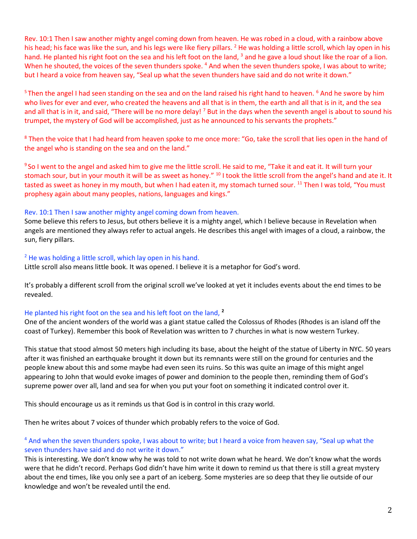Rev. 10:1 Then I saw another mighty angel coming down from heaven. He was robed in a cloud, with a rainbow above his head; his face was like the sun, and his legs were like fiery pillars. <sup>2</sup> He was holding a little scroll, which lay open in his hand. He planted his right foot on the sea and his left foot on the land, <sup>3</sup> and he gave a loud shout like the roar of a lion. When he shouted, the voices of the seven thunders spoke. <sup>4</sup> And when the seven thunders spoke, I was about to write; but I heard a voice from heaven say, "Seal up what the seven thunders have said and do not write it down."

<sup>5</sup> Then the angel I had seen standing on the sea and on the land raised his right hand to heaven. <sup>6</sup> And he swore by him who lives for ever and ever, who created the heavens and all that is in them, the earth and all that is in it, and the sea and all that is in it, and said, "There will be no more delay! <sup>7</sup> But in the days when the seventh angel is about to sound his trumpet, the mystery of God will be accomplished, just as he announced to his servants the prophets."

8 Then the voice that I had heard from heaven spoke to me once more: "Go, take the scroll that lies open in the hand of the angel who is standing on the sea and on the land."

<sup>9</sup>So I went to the angel and asked him to give me the little scroll. He said to me, "Take it and eat it. It will turn your stomach sour, but in your mouth it will be as sweet as honey." <sup>10</sup> I took the little scroll from the angel's hand and ate it. It tasted as sweet as honey in my mouth, but when I had eaten it, my stomach turned sour. <sup>11</sup> Then I was told, "You must prophesy again about many peoples, nations, languages and kings."

#### Rev. 10:1 Then I saw another mighty angel coming down from heaven.

Some believe this refers to Jesus, but others believe it is a mighty angel, which I believe because in Revelation when angels are mentioned they always refer to actual angels. He describes this angel with images of a cloud, a rainbow, the sun, fiery pillars.

#### <sup>2</sup> He was holding a little scroll, which lay open in his hand.

Little scroll also means little book. It was opened. I believe it is a metaphor for God's word.

It's probably a different scroll from the original scroll we've looked at yet it includes events about the end times to be revealed.

#### He planted his right foot on the sea and his left foot on the land, **<sup>2</sup>**

One of the ancient wonders of the world was a giant statue called the Colossus of Rhodes (Rhodes is an island off the coast of Turkey). Remember this book of Revelation was written to 7 churches in what is now western Turkey.

This statue that stood almost 50 meters high including its base, about the height of the statue of Liberty in NYC. 50 years after it was finished an earthquake brought it down but its remnants were still on the ground for centuries and the people knew about this and some maybe had even seen its ruins. So this was quite an image of this might angel appearing to John that would evoke images of power and dominion to the people then, reminding them of God's supreme power over all, land and sea for when you put your foot on something it indicated control over it.

This should encourage us as it reminds us that God is in control in this crazy world.

Then he writes about 7 voices of thunder which probably refers to the voice of God.

### <sup>4</sup> And when the seven thunders spoke, I was about to write; but I heard a voice from heaven say, "Seal up what the seven thunders have said and do not write it down."

This is interesting. We don't know why he was told to not write down what he heard. We don't know what the words were that he didn't record. Perhaps God didn't have him write it down to remind us that there is still a great mystery about the end times, like you only see a part of an iceberg. Some mysteries are so deep that they lie outside of our knowledge and won't be revealed until the end.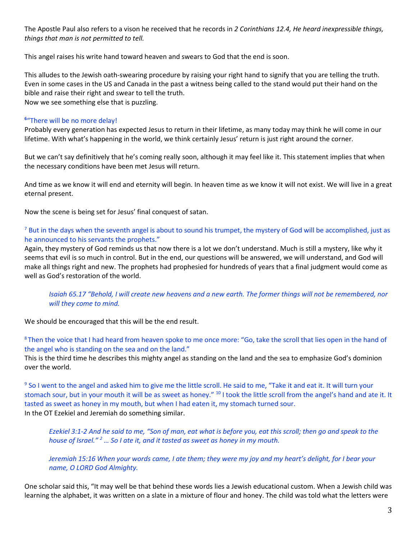The Apostle Paul also refers to a vison he received that he records in *2 Corinthians 12.4, He heard inexpressible things, things that man is not permitted to tell.*

This angel raises his write hand toward heaven and swears to God that the end is soon.

This alludes to the Jewish oath-swearing procedure by raising your right hand to signify that you are telling the truth. Even in some cases in the US and Canada in the past a witness being called to the stand would put their hand on the bible and raise their right and swear to tell the truth.

Now we see something else that is puzzling.

## **6** "There will be no more delay!

Probably every generation has expected Jesus to return in their lifetime, as many today may think he will come in our lifetime. With what's happening in the world, we think certainly Jesus' return is just right around the corner.

But we can't say definitively that he's coming really soon, although it may feel like it. This statement implies that when the necessary conditions have been met Jesus will return.

And time as we know it will end and eternity will begin. In heaven time as we know it will not exist. We will live in a great eternal present.

Now the scene is being set for Jesus' final conquest of satan.

### $<sup>7</sup>$  But in the days when the seventh angel is about to sound his trumpet, the mystery of God will be accomplished, just as</sup> he announced to his servants the prophets."

Again, they mystery of God reminds us that now there is a lot we don't understand. Much is still a mystery, like why it seems that evil is so much in control. But in the end, our questions will be answered, we will understand, and God will make all things right and new. The prophets had prophesied for hundreds of years that a final judgment would come as well as God's restoration of the world.

## *Isaiah 65.17 "Behold, I will create new heavens and a new earth. The former things will not be remembered, nor will they come to mind.*

We should be encouraged that this will be the end result.

<sup>8</sup>Then the voice that I had heard from heaven spoke to me once more: "Go, take the scroll that lies open in the hand of the angel who is standing on the sea and on the land."

This is the third time he describes this mighty angel as standing on the land and the sea to emphasize God's dominion over the world.

<sup>9</sup> So I went to the angel and asked him to give me the little scroll. He said to me, "Take it and eat it. It will turn your stomach sour, but in your mouth it will be as sweet as honey." <sup>10</sup> I took the little scroll from the angel's hand and ate it. It tasted as sweet as honey in my mouth, but when I had eaten it, my stomach turned sour. In the OT Ezekiel and Jeremiah do something similar.

*Ezekiel 3:1-2 And he said to me, "Son of man, eat what is before you, eat this scroll; then go and speak to the house of Israel." <sup>2</sup> … So I ate it, and it tasted as sweet as honey in my mouth.*

*Jeremiah 15:16 When your words came, I ate them; they were my joy and my heart's delight, for I bear your name, O LORD God Almighty.*

One scholar said this, "It may well be that behind these words lies a Jewish educational custom. When a Jewish child was learning the alphabet, it was written on a slate in a mixture of flour and honey. The child was told what the letters were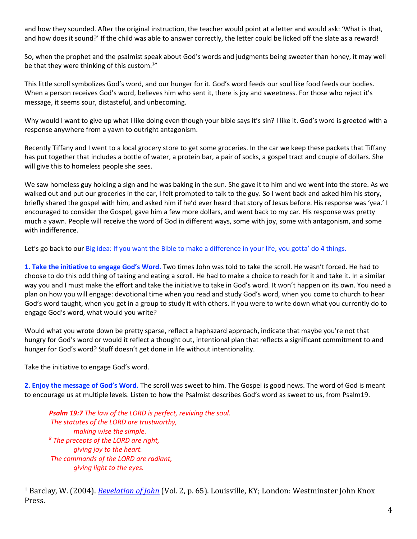and how they sounded. After the original instruction, the teacher would point at a letter and would ask: 'What is that, and how does it sound?' If the child was able to answer correctly, the letter could be licked off the slate as a reward!

So, when the prophet and the psalmist speak about God's words and judgments being sweeter than honey, it may well be that they were thinking of this custom. $^{1}$ "

This little scroll symbolizes God's word, and our hunger for it. God's word feeds our soul like food feeds our bodies. When a person receives God's word, believes him who sent it, there is joy and sweetness. For those who reject it's message, it seems sour, distasteful, and unbecoming.

Why would I want to give up what I like doing even though your bible says it's sin? I like it. God's word is greeted with a response anywhere from a yawn to outright antagonism.

Recently Tiffany and I went to a local grocery store to get some groceries. In the car we keep these packets that Tiffany has put together that includes a bottle of water, a protein bar, a pair of socks, a gospel tract and couple of dollars. She will give this to homeless people she sees.

We saw homeless guy holding a sign and he was baking in the sun. She gave it to him and we went into the store. As we walked out and put our groceries in the car, I felt prompted to talk to the guy. So I went back and asked him his story, briefly shared the gospel with him, and asked him if he'd ever heard that story of Jesus before. His response was 'yea.' I encouraged to consider the Gospel, gave him a few more dollars, and went back to my car. His response was pretty much a yawn. People will receive the word of God in different ways, some with joy, some with antagonism, and some with indifference.

Let's go back to our Big idea: If you want the Bible to make a difference in your life, you gotta' do 4 things.

**1. Take the initiative to engage God's Word.** Two times John was told to take the scroll. He wasn't forced. He had to choose to do this odd thing of taking and eating a scroll. He had to make a choice to reach for it and take it. In a similar way you and I must make the effort and take the initiative to take in God's word. It won't happen on its own. You need a plan on how you will engage: devotional time when you read and study God's word, when you come to church to hear God's word taught, when you get in a group to study it with others. If you were to write down what you currently do to engage God's word, what would you write?

Would what you wrote down be pretty sparse, reflect a haphazard approach, indicate that maybe you're not that hungry for God's word or would it reflect a thought out, intentional plan that reflects a significant commitment to and hunger for God's word? Stuff doesn't get done in life without intentionality.

Take the initiative to engage God's word.

**2. Enjoy the message of God's Word.** The scroll was sweet to him. The Gospel is good news. The word of God is meant to encourage us at multiple levels. Listen to how the Psalmist describes God's word as sweet to us, from Psalm19.

*Psalm 19:7 The law of the LORD is perfect, reviving the soul. The statutes of the LORD are trustworthy, making wise the simple. <sup>8</sup> The precepts of the LORD are right, giving joy to the heart. The commands of the LORD are radiant, giving light to the eyes.*

<sup>1</sup> Barclay, W. (2004). *[Revelation of John](https://ref.ly/logosres/ndsb87rev02?ref=Bible.Re10.8-11&off=1502&ctx=!%E2%80%99+(Psalm+119:103).+~It+may+well+be+that+)* (Vol. 2, p. 65). Louisville, KY; London: Westminster John Knox Press.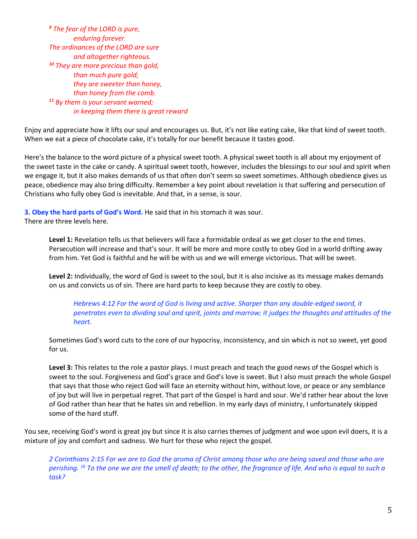*<sup>9</sup> The fear of the LORD is pure, enduring forever. The ordinances of the LORD are sure and altogether righteous. <sup>10</sup> They are more precious than gold, than much pure gold; they are sweeter than honey, than honey from the comb. <sup>11</sup> By them is your servant warned; in keeping them there is great reward*

Enjoy and appreciate how it lifts our soul and encourages us. But, it's not like eating cake, like that kind of sweet tooth. When we eat a piece of chocolate cake, it's totally for our benefit because it tastes good.

Here's the balance to the word picture of a physical sweet tooth. A physical sweet tooth is all about my enjoyment of the sweet taste in the cake or candy. A spiritual sweet tooth, however, includes the blessings to our soul and spirit when we engage it, but it also makes demands of us that often don't seem so sweet sometimes. Although obedience gives us peace, obedience may also bring difficulty. Remember a key point about revelation is that suffering and persecution of Christians who fully obey God is inevitable. And that, in a sense, is sour.

**3. Obey the hard parts of God's Word.** He said that in his stomach it was sour. There are three levels here.

> Level 1: Revelation tells us that believers will face a formidable ordeal as we get closer to the end times. Persecution will increase and that's sour. It will be more and more costly to obey God in a world drifting away from him. Yet God is faithful and he will be with us and we will emerge victorious. That will be sweet.

> **Level 2:** Individually, the word of God is sweet to the soul, but it is also incisive as its message makes demands on us and convicts us of sin. There are hard parts to keep because they are costly to obey.

*Hebrews 4:12 For the word of God is living and active. Sharper than any double-edged sword, it penetrates even to dividing soul and spirit, joints and marrow; it judges the thoughts and attitudes of the heart.*

Sometimes God's word cuts to the core of our hypocrisy, inconsistency, and sin which is not so sweet, yet good for us.

**Level 3:** This relates to the role a pastor plays. I must preach and teach the good news of the Gospel which is sweet to the soul. Forgiveness and God's grace and God's love is sweet. But I also must preach the whole Gospel that says that those who reject God will face an eternity without him, without love, or peace or any semblance of joy but will live in perpetual regret. That part of the Gospel is hard and sour. We'd rather hear about the love of God rather than hear that he hates sin and rebellion. In my early days of ministry, I unfortunately skipped some of the hard stuff.

You see, receiving God's word is great joy but since it is also carries themes of judgment and woe upon evil doers, it is a mixture of joy and comfort and sadness. We hurt for those who reject the gospel.

*2 Corinthians 2:15 For we are to God the aroma of Christ among those who are being saved and those who are perishing. <sup>16</sup> To the one we are the smell of death; to the other, the fragrance of life. And who is equal to such a task?*